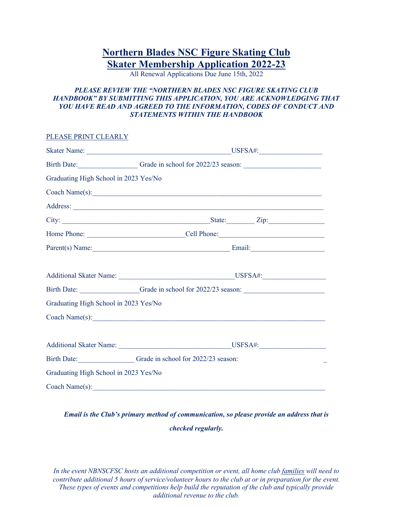# **Northern Blades NSC Figure Skating Club Skater Membership Application 2022-23**

All Renewal Applications Due June 15th, 2022

### *PLEASE REVIEW THE "NORTHERN BLADES NSC FIGURE SKATING CLUB HANDBOOK" BY SUBMITTING THIS APPLICATION, YOU ARE ACKNOWLEDGING THAT*  YOU HAVE READ AND AGREED TO THE INFORMATION, CODES OF CONDUCT AND *STATEMENTS WITHIN THE HANDBOOK*

PLEASE PRINT CLEARLY

|                                       |                                                 | Birth Date: Grade in school for 2022/23 season:  |
|---------------------------------------|-------------------------------------------------|--------------------------------------------------|
| Graduating High School in 2023 Yes/No |                                                 |                                                  |
|                                       | Coach Name(s):                                  |                                                  |
|                                       |                                                 |                                                  |
|                                       |                                                 |                                                  |
|                                       |                                                 |                                                  |
|                                       |                                                 | $Parent(s) Name:$ Email: Email:                  |
|                                       |                                                 |                                                  |
|                                       |                                                 |                                                  |
|                                       |                                                 | Birth Date: Cracke in school for 2022/23 season: |
| Graduating High School in 2023 Yes/No |                                                 |                                                  |
|                                       |                                                 |                                                  |
|                                       |                                                 |                                                  |
|                                       |                                                 | Additional Skater Name: USFSA#: USFSA#:          |
|                                       | Birth Date: Grade in school for 2022/23 season: |                                                  |
| Graduating High School in 2023 Yes/No |                                                 |                                                  |
| Coach Name(s):                        |                                                 |                                                  |

## *Email is the Club's primary method of communication, so please provide an address that is checked regularly.*

*In the event NBNSCFSC hosts an additional competition or event, all home club families will need to contribute additional 5 hours of service/volunteer hours to the club at or in preparation for the event. These types of events and competitions help build the reputation of the club and typically provide additional revenue to the club.*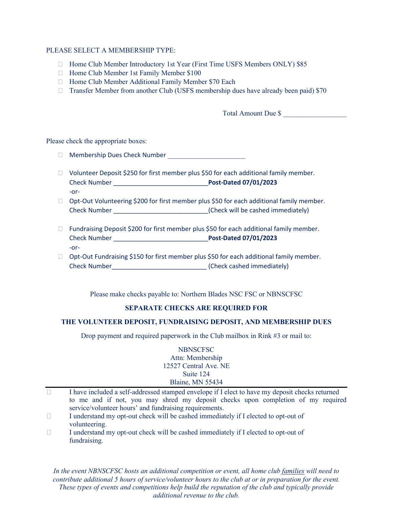#### PLEASE SELECT A MEMBERSHIP TYPE:

- □ Home Club Member Introductory 1st Year (First Time USFS Members ONLY) \$85
- □ Home Club Member 1st Family Member \$100
- □ Home Club Member Additional Family Member \$70 Each
- $\Box$  Transfer Member from another Club (USFS membership dues have already been paid) \$70

Total Amount Due \$

Please check the appropriate boxes:

- $\Box$  Membership Dues Check Number
- $\Box$  Volunteer Deposit \$250 for first member plus \$50 for each additional family member. Check Number \_\_\_\_\_\_\_\_\_\_\_\_\_\_\_\_\_\_\_\_\_\_\_\_\_\_\_**Post-Dated 07/01/2023** -or-
- □ Opt-Out Volunteering \$200 for first member plus \$50 for each additional family member. Check Number \_\_\_\_\_\_\_\_\_\_\_\_\_\_\_\_\_\_\_\_\_\_\_\_\_\_\_(Check will be cashed immediately)
- $\Box$  Fundraising Deposit \$200 for first member plus \$50 for each additional family member. Check Number \_\_\_\_\_\_\_\_\_\_\_\_\_\_\_\_\_\_\_\_\_\_\_\_\_\_\_**Post-Dated 07/01/2023** -or-
- □ Opt-Out Fundraising \$150 for first member plus \$50 for each additional family member. Check Number\_\_\_\_\_\_\_\_\_\_\_\_\_\_\_\_\_\_\_\_\_\_\_\_\_\_\_ (Check cashed immediately)

Please make checks payable to: Northern Blades NSC FSC or NBNSCFSC

#### **SEPARATE CHECKS ARE REQUIRED FOR**

#### **THE VOLUNTEER DEPOSIT, FUNDRAISING DEPOSIT, AND MEMBERSHIP DUES**

Drop payment and required paperwork in the Club mailbox in Rink #3 or mail to:

#### **NBNSCFSC** Attn: Membership 12527 Central Ave. NE Suite 124 Blaine, MN 55434

- $\Box$  I have included a self-addressed stamped envelope if I elect to have my deposit checks returned to me and if not, you may shred my deposit checks upon completion of my required service/volunteer hours' and fundraising requirements.
- $\Box$  I understand my opt-out check will be cashed immediately if I elected to opt-out of volunteering.
- $\Box$  I understand my opt-out check will be cashed immediately if I elected to opt-out of fundraising.

*In the event NBNSCFSC hosts an additional competition or event, all home club families will need to contribute additional 5 hours of service/volunteer hours to the club at or in preparation for the event. These types of events and competitions help build the reputation of the club and typically provide additional revenue to the club.*